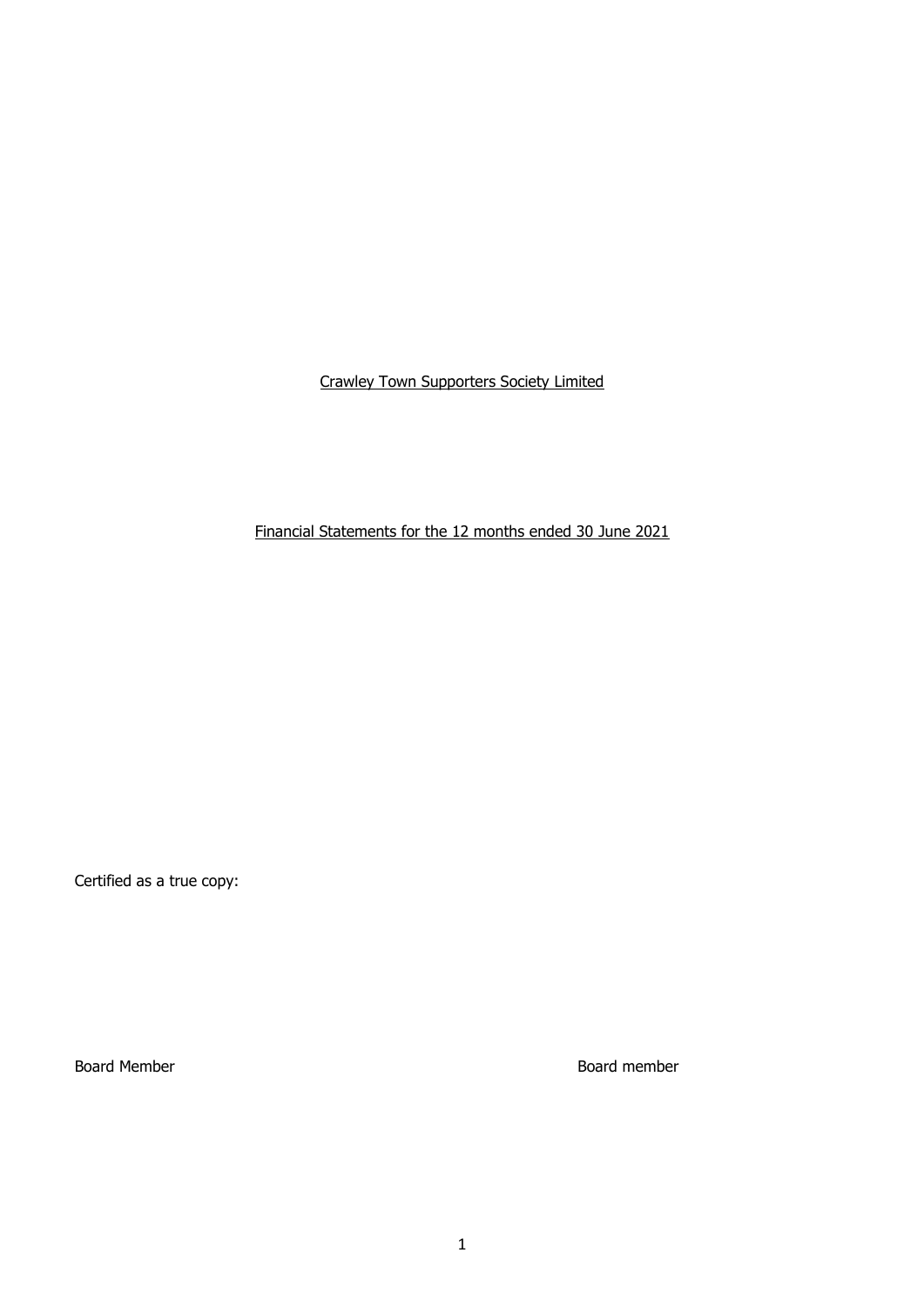Financial Statements for the 12 months ended 30 June 2021

Certified as a true copy:

Board Member Board member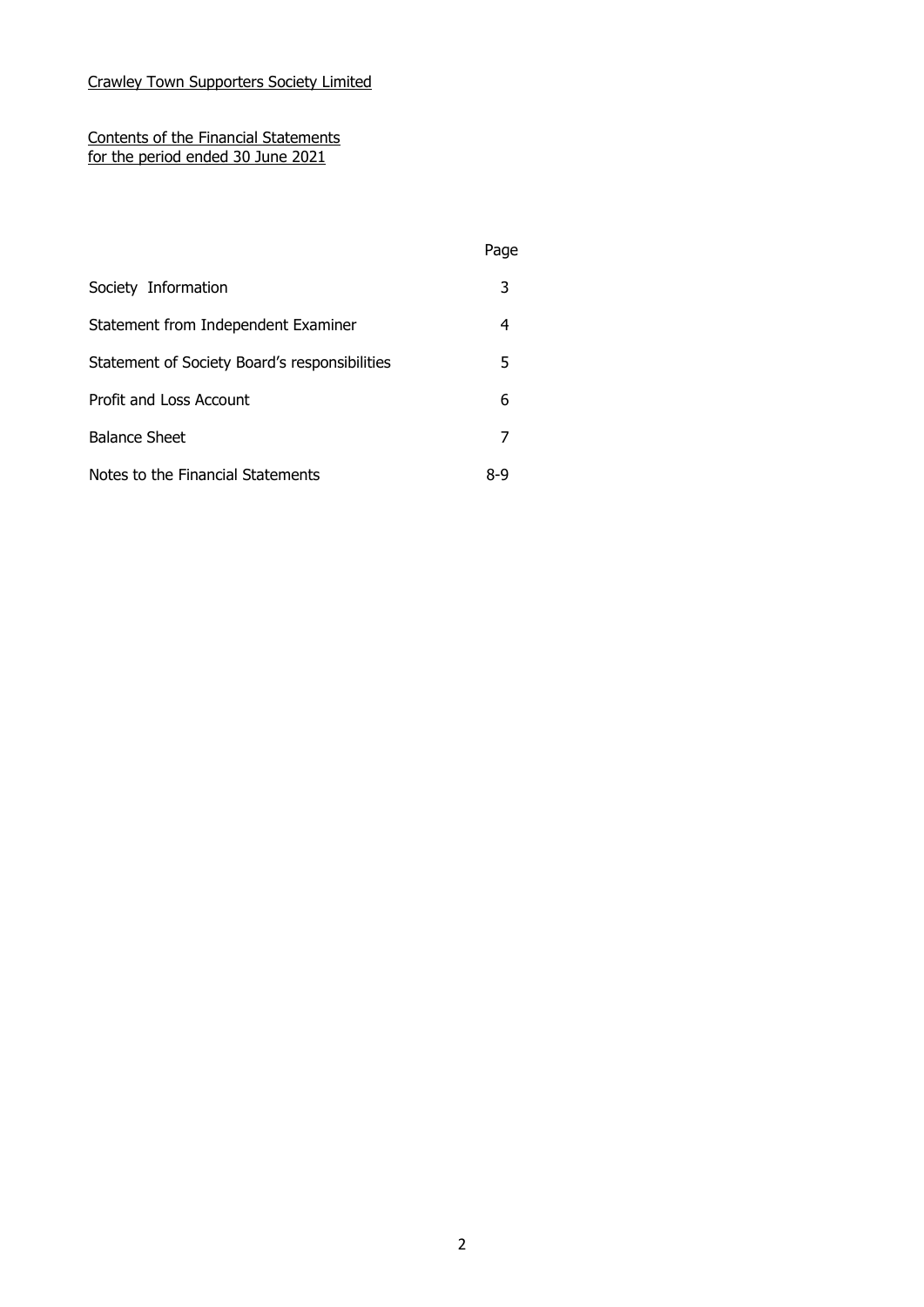### Contents of the Financial Statements for the period ended 30 June 2021

|                                               | Page |
|-----------------------------------------------|------|
| Society Information                           | 3    |
| Statement from Independent Examiner           | 4    |
| Statement of Society Board's responsibilities | 5    |
| Profit and Loss Account                       | 6    |
| <b>Balance Sheet</b>                          |      |
| Notes to the Financial Statements             | 8-9  |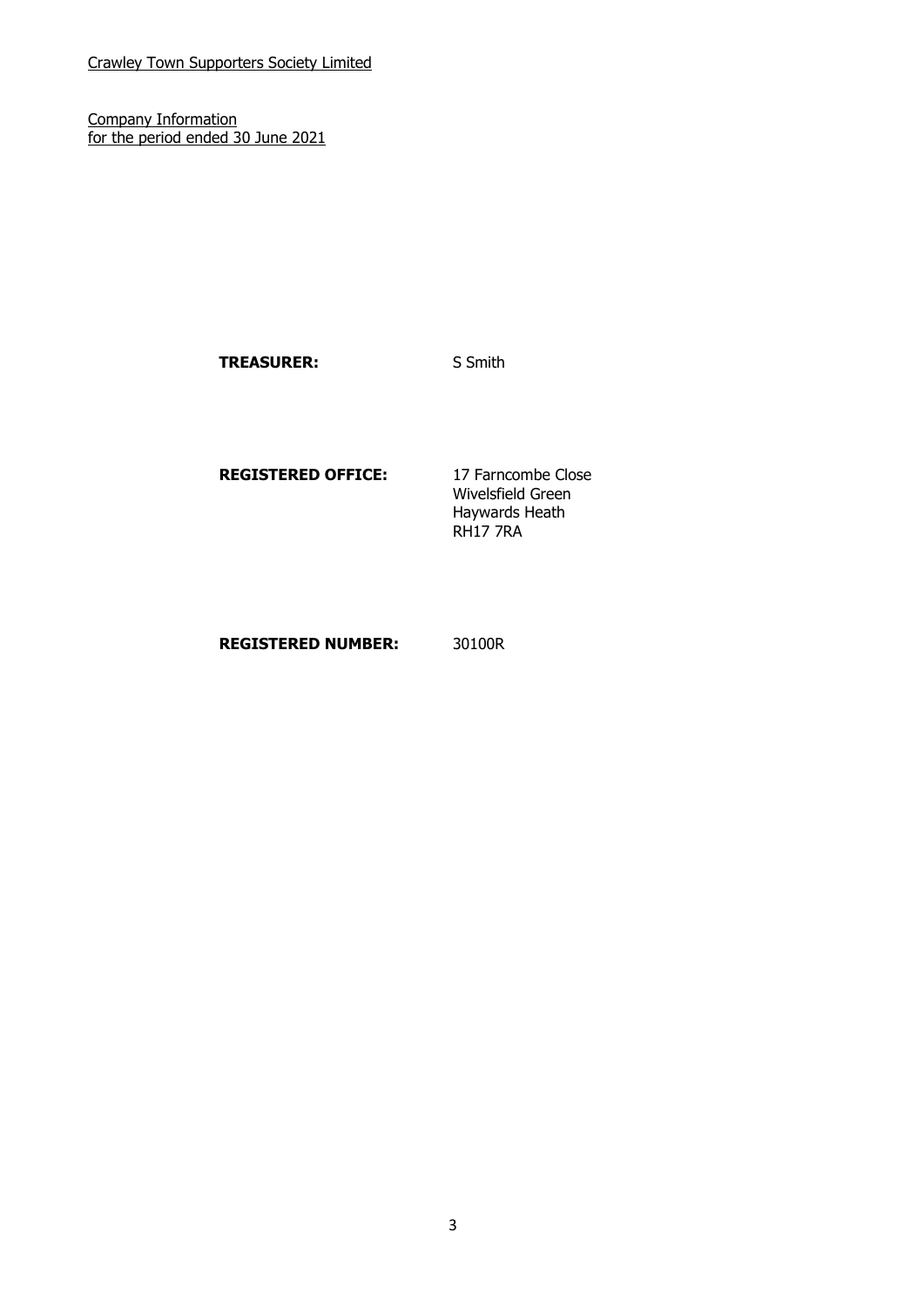Company Information for the period ended 30 June 2021

TREASURER: S Smith

### **REGISTERED OFFICE:** 17 Farncombe Close

Wivelsfield Green Haywards Heath RH17 7RA

### **REGISTERED NUMBER:** 30100R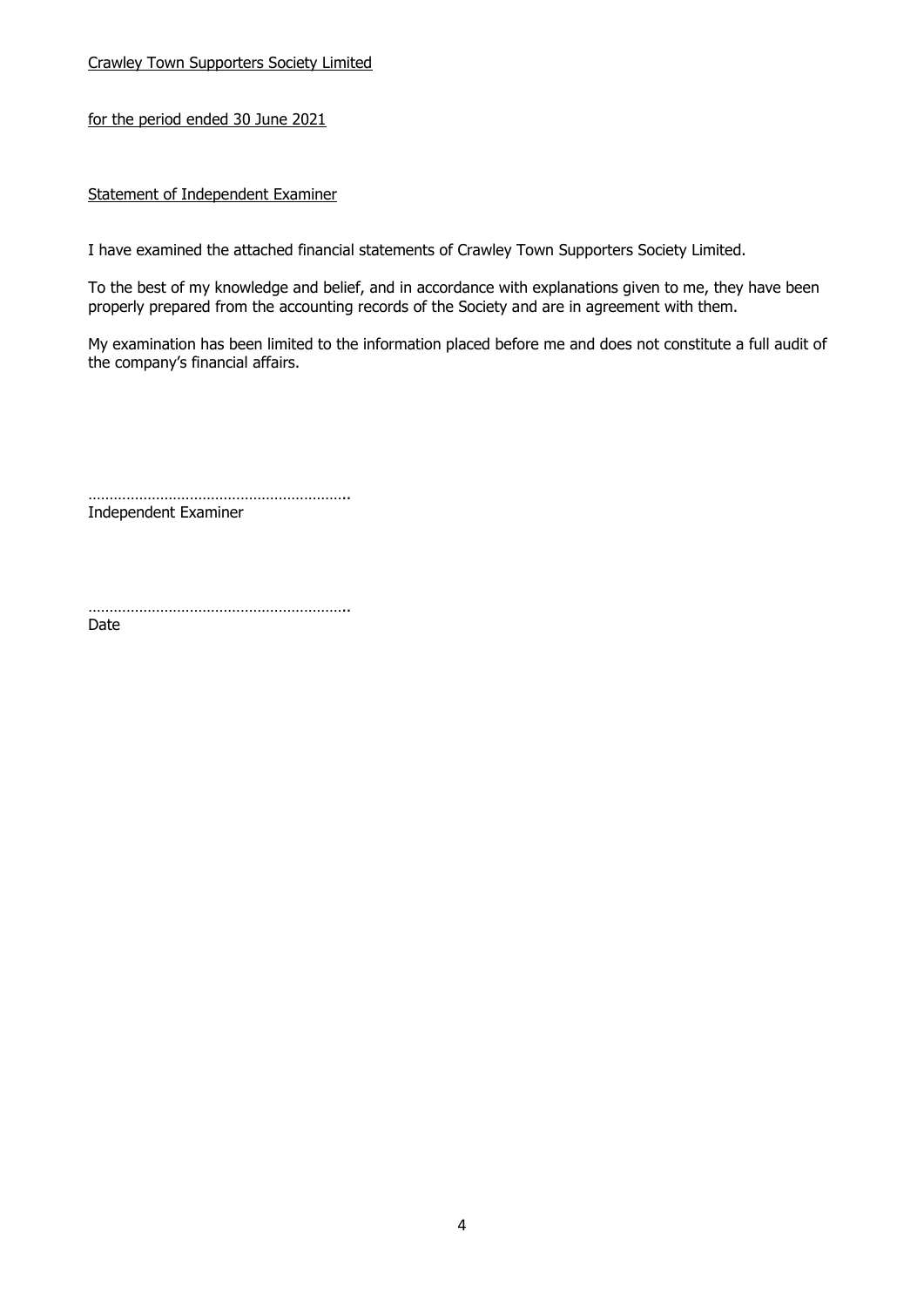for the period ended 30 June 2021

### Statement of Independent Examiner

I have examined the attached financial statements of Crawley Town Supporters Society Limited.

To the best of my knowledge and belief, and in accordance with explanations given to me, they have been properly prepared from the accounting records of the Society and are in agreement with them.

My examination has been limited to the information placed before me and does not constitute a full audit of the company's financial affairs.

…………………………………………………….. Independent Examiner

……………………………………………………..

Date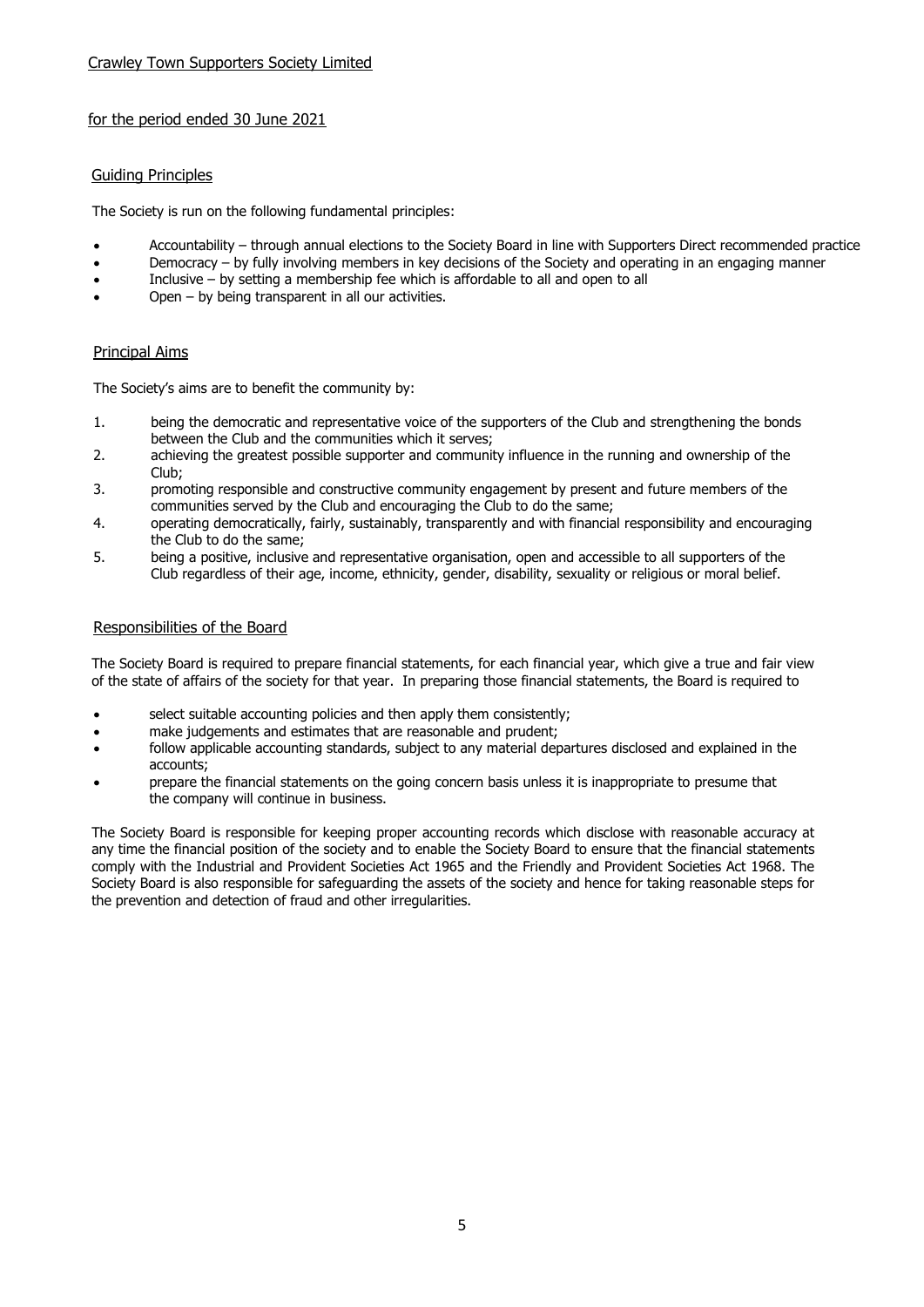### for the period ended 30 June 2021

### Guiding Principles

The Society is run on the following fundamental principles:

- Accountability through annual elections to the Society Board in line with Supporters Direct recommended practice
- Democracy by fully involving members in key decisions of the Society and operating in an engaging manner
- Inclusive by setting a membership fee which is affordable to all and open to all
- Open by being transparent in all our activities.

### Principal Aims

The Society's aims are to benefit the community by:

- 1. being the democratic and representative voice of the supporters of the Club and strengthening the bonds between the Club and the communities which it serves;
- 2. achieving the greatest possible supporter and community influence in the running and ownership of the Club;
- 3. promoting responsible and constructive community engagement by present and future members of the communities served by the Club and encouraging the Club to do the same;
- 4. operating democratically, fairly, sustainably, transparently and with financial responsibility and encouraging the Club to do the same;
- 5. being a positive, inclusive and representative organisation, open and accessible to all supporters of the Club regardless of their age, income, ethnicity, gender, disability, sexuality or religious or moral belief.

### Responsibilities of the Board

The Society Board is required to prepare financial statements, for each financial year, which give a true and fair view of the state of affairs of the society for that year. In preparing those financial statements, the Board is required to

- select suitable accounting policies and then apply them consistently;
- make judgements and estimates that are reasonable and prudent;
- follow applicable accounting standards, subject to any material departures disclosed and explained in the accounts;
- prepare the financial statements on the going concern basis unless it is inappropriate to presume that the company will continue in business.

The Society Board is responsible for keeping proper accounting records which disclose with reasonable accuracy at any time the financial position of the society and to enable the Society Board to ensure that the financial statements comply with the Industrial and Provident Societies Act 1965 and the Friendly and Provident Societies Act 1968. The Society Board is also responsible for safeguarding the assets of the society and hence for taking reasonable steps for the prevention and detection of fraud and other irregularities.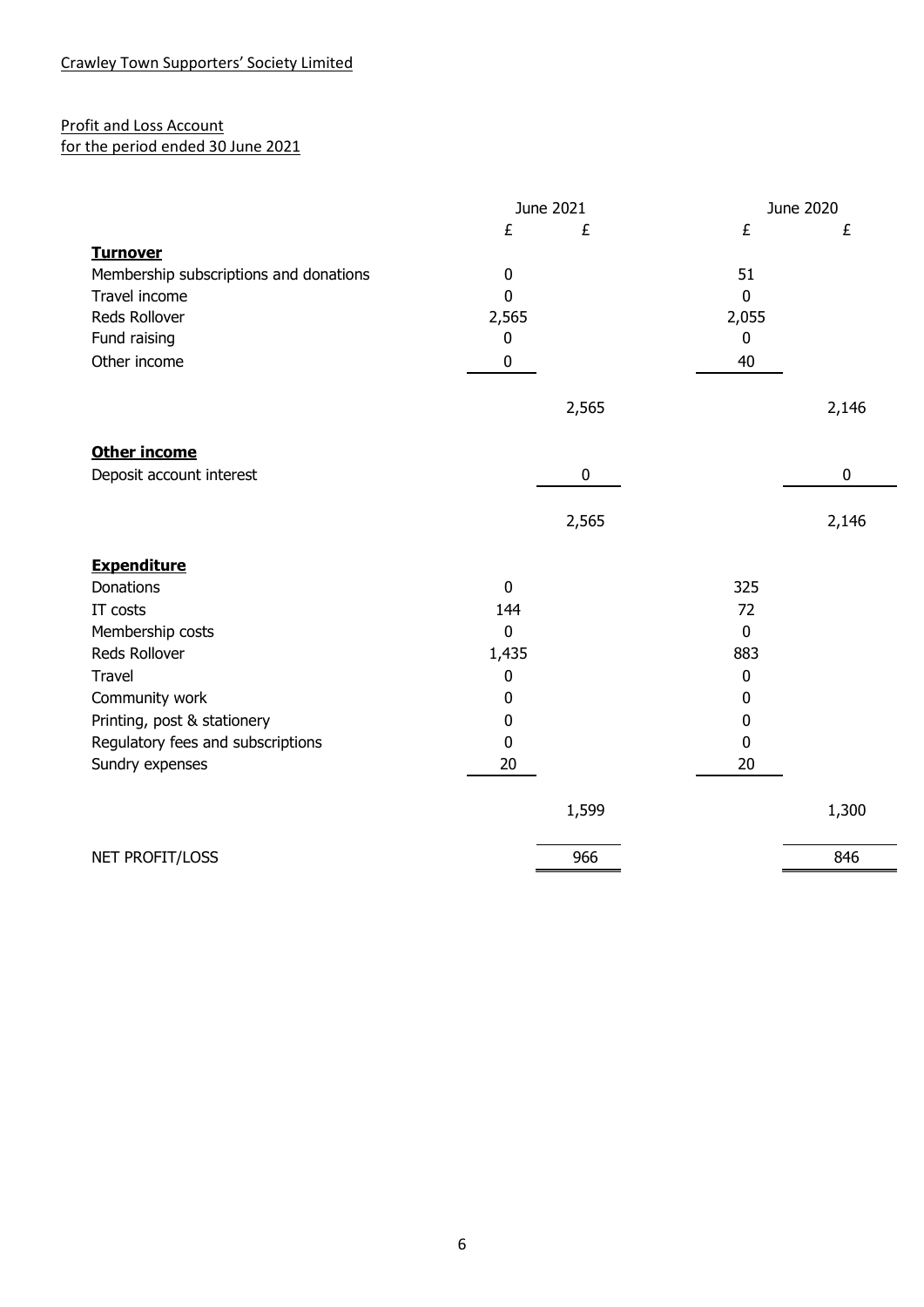# Profit and Loss Account

# for the period ended 30 June 2021

|                                        | June 2021   |             | June 2020   |       |
|----------------------------------------|-------------|-------------|-------------|-------|
|                                        | £           | £           | £           | £     |
| <b>Turnover</b>                        |             |             |             |       |
| Membership subscriptions and donations | $\pmb{0}$   |             | 51          |       |
| Travel income                          | $\mathbf 0$ |             | $\mathbf 0$ |       |
| Reds Rollover                          | 2,565       |             | 2,055       |       |
| Fund raising                           | 0           |             | $\mathbf 0$ |       |
| Other income                           | 0           |             | 40          |       |
|                                        |             | 2,565       |             | 2,146 |
| <b>Other income</b>                    |             |             |             |       |
| Deposit account interest               |             | $\mathbf 0$ |             | 0     |
|                                        |             | 2,565       |             | 2,146 |
| <b>Expenditure</b>                     |             |             |             |       |
| <b>Donations</b>                       | $\mathbf 0$ |             | 325         |       |
| IT costs                               | 144         |             | 72          |       |
| Membership costs                       | $\pmb{0}$   |             | $\pmb{0}$   |       |
| Reds Rollover                          | 1,435       |             | 883         |       |
| <b>Travel</b>                          | $\pmb{0}$   |             | $\mathbf 0$ |       |
| Community work                         | 0           |             | 0           |       |
| Printing, post & stationery            | 0           |             | 0           |       |
| Regulatory fees and subscriptions      | $\mathbf 0$ |             | 0           |       |
| Sundry expenses                        | 20          |             | 20          |       |
|                                        |             | 1,599       |             | 1,300 |
| NET PROFIT/LOSS                        |             | 966         |             | 846   |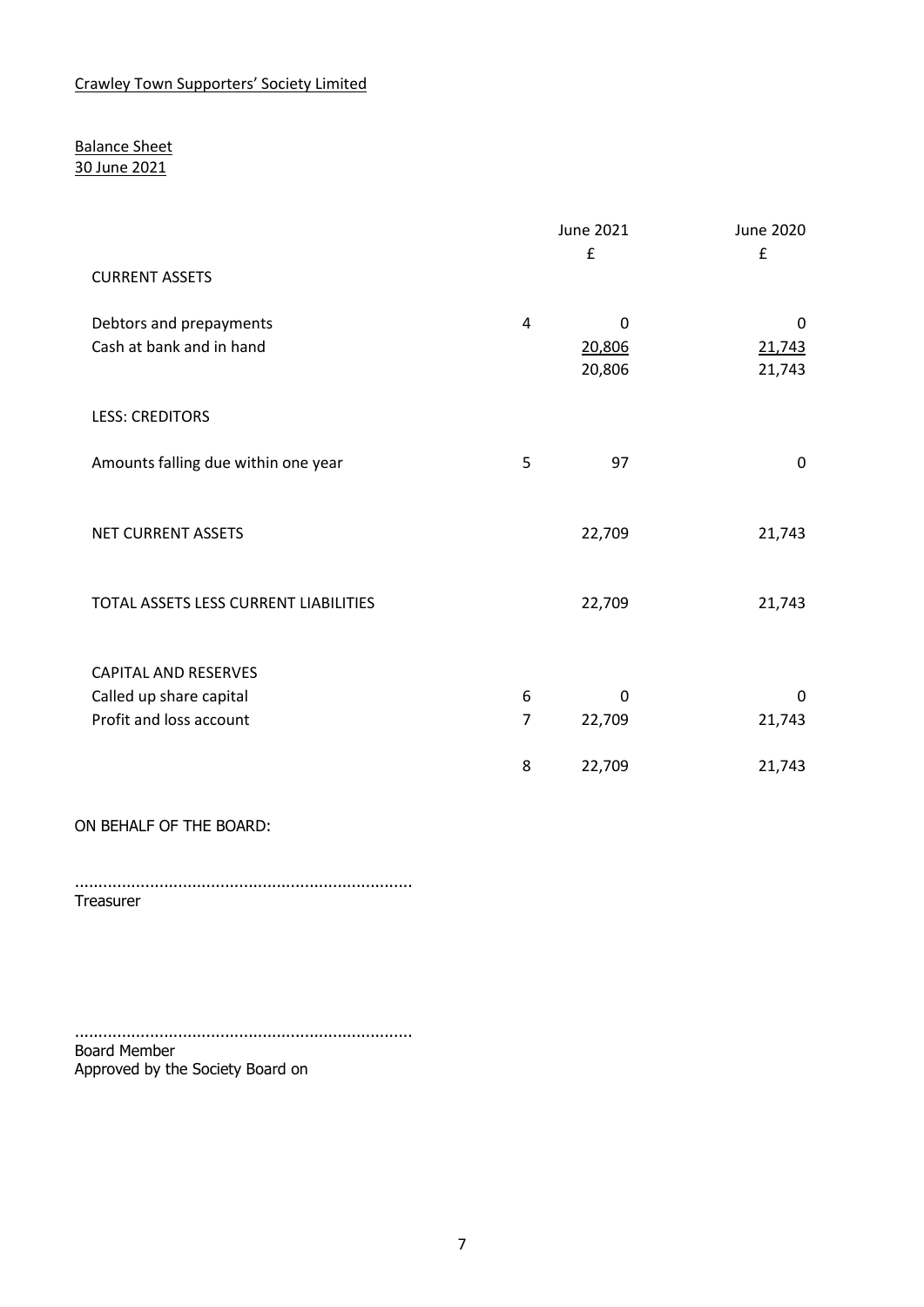## Balance Sheet 30 June 2021

|                                                     |   | June 2021<br>£        | June 2020<br>£        |
|-----------------------------------------------------|---|-----------------------|-----------------------|
| <b>CURRENT ASSETS</b>                               |   |                       |                       |
| Debtors and prepayments<br>Cash at bank and in hand | 4 | 0<br>20,806<br>20,806 | 0<br>21,743<br>21,743 |
| <b>LESS: CREDITORS</b>                              |   |                       |                       |
| Amounts falling due within one year                 | 5 | 97                    | $\mathbf 0$           |
| NET CURRENT ASSETS                                  |   | 22,709                | 21,743                |
| TOTAL ASSETS LESS CURRENT LIABILITIES               |   | 22,709                | 21,743                |
| <b>CAPITAL AND RESERVES</b>                         |   |                       |                       |
| Called up share capital                             | 6 | 0                     | 0                     |
| Profit and loss account                             | 7 | 22,709                | 21,743                |
|                                                     | 8 | 22,709                | 21,743                |

ON BEHALF OF THE BOARD:

........................................................................ **Treasurer** 

........................................................................ Board Member Approved by the Society Board on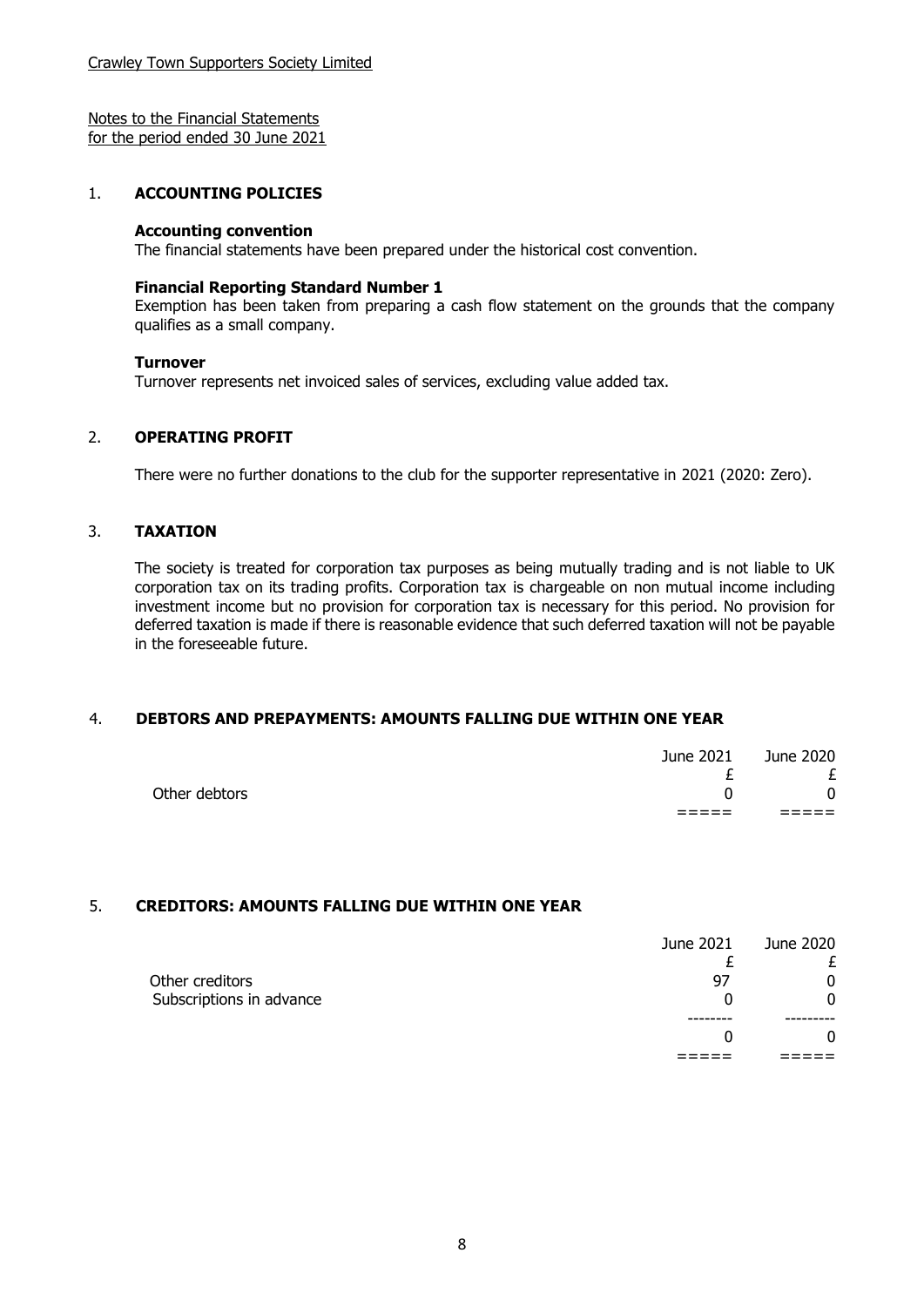Notes to the Financial Statements for the period ended 30 June 2021

### 1. **ACCOUNTING POLICIES**

### **Accounting convention**

The financial statements have been prepared under the historical cost convention.

#### **Financial Reporting Standard Number 1**

Exemption has been taken from preparing a cash flow statement on the grounds that the company qualifies as a small company.

#### **Turnover**

Turnover represents net invoiced sales of services, excluding value added tax.

### 2. **OPERATING PROFIT**

There were no further donations to the club for the supporter representative in 2021 (2020: Zero).

### 3. **TAXATION**

The society is treated for corporation tax purposes as being mutually trading and is not liable to UK corporation tax on its trading profits. Corporation tax is chargeable on non mutual income including investment income but no provision for corporation tax is necessary for this period. No provision for deferred taxation is made if there is reasonable evidence that such deferred taxation will not be payable in the foreseeable future.

### 4. **DEBTORS AND PREPAYMENTS: AMOUNTS FALLING DUE WITHIN ONE YEAR**

| Other debtors<br>$\Omega$ |
|---------------------------|
|                           |

### 5. **CREDITORS: AMOUNTS FALLING DUE WITHIN ONE YEAR**

|                                             | 0         |
|---------------------------------------------|-----------|
| 97                                          | 0         |
|                                             |           |
| June 2021                                   | June 2020 |
| Other creditors<br>Subscriptions in advance |           |